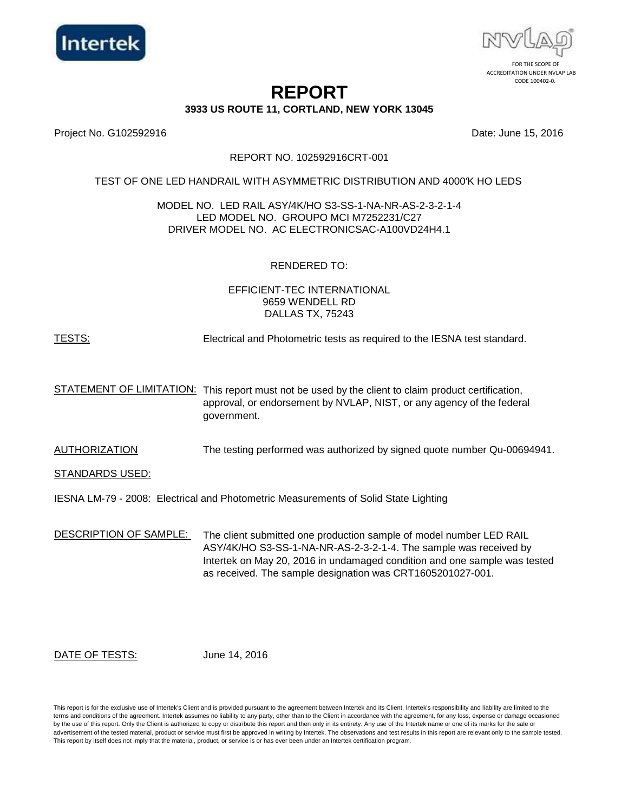



# **REPORT**

**3933 US ROUTE 11, CORTLAND, NEW YORK 13045**

Project No. G102592916 Date: June 15, 2016

#### REPORT NO. 102592916CRT-001

#### TEST OF ONE LED HANDRAIL WITH ASYMMETRIC DISTRIBUTION AND 4000K HO LEDS

#### MODEL NO. LED RAIL ASY/4K/HO S3-SS-1-NA-NR-AS-2-3-2-1-4 LED MODEL NO. GROUPO MCI M7252231/C27 DRIVER MODEL NO. AC ELECTRONICSAC-A100VD24H4.1

# RENDERED TO:

#### EFFICIENT-TEC INTERNATIONAL 9659 WENDELL RD DALLAS TX, 75243

#### TESTS: Electrical and Photometric tests as required to the IESNA test standard.

STATEMENT OF LIMITATION: This report must not be used by the client to claim product certification, approval, or endorsement by NVLAP, NIST, or any agency of the federal government.

AUTHORIZATION The testing performed was authorized by signed quote number Qu-00694941.

STANDARDS USED:

IESNA LM-79 - 2008: Electrical and Photometric Measurements of Solid State Lighting

DESCRIPTION OF SAMPLE: The client submitted one production sample of model number LED RAIL ASY/4K/HO S3-SS-1-NA-NR-AS-2-3-2-1-4. The sample was received by Intertek on May 20, 2016 in undamaged condition and one sample was tested as received. The sample designation was CRT1605201027-001.

DATE OF TESTS:

June 14, 2016

This report is for the exclusive use of Intertek's Client and is provided pursuant to the agreement between Intertek and its Client. Intertek's responsibility and liability are limited to the terms and conditions of the agreement. Intertek assumes no liability to any party, other than to the Client in accordance with the agreement, for any loss, expense or damage occasioned by the use of this report. Only the Client is authorized to copy or distribute this report and then only in its entirety. Any use of the Intertek name or one of its marks for the sale or advertisement of the tested material, product or service must first be approved in writing by Intertek. The observations and test results in this report are relevant only to the sample tested. This report by itself does not imply that the material, product, or service is or has ever been under an Intertek certification program.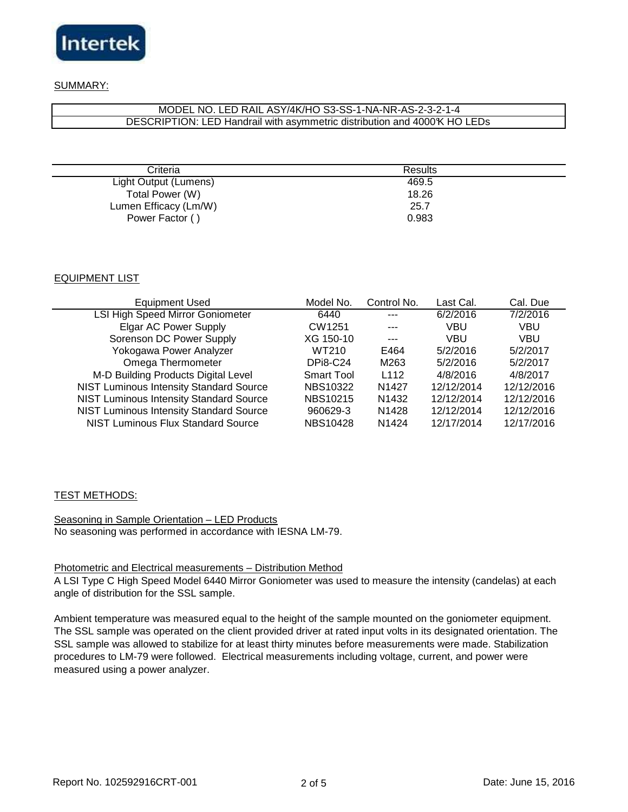

# SUMMARY:

#### DESCRIPTION: LED Handrail with asymmetric distribution and 4000K HO LEDs MODEL NO. LED RAIL ASY/4K/HO S3-SS-1-NA-NR-AS-2-3-2-1-4

| Criteria              | <b>Results</b> |  |
|-----------------------|----------------|--|
| Light Output (Lumens) | 469.5          |  |
| Total Power (W)       | 18.26          |  |
| Lumen Efficacy (Lm/W) | 25.7           |  |
| Power Factor ()       | 0.983          |  |

# EQUIPMENT LIST

| <b>Equipment Used</b>                          | Model No.       | Control No.       | Last Cal.  | Cal. Due   |
|------------------------------------------------|-----------------|-------------------|------------|------------|
| <b>LSI High Speed Mirror Goniometer</b>        | 6440            |                   | 6/2/2016   | 7/2/2016   |
| <b>Elgar AC Power Supply</b>                   | CW1251          |                   | VBU        | VBU        |
| Sorenson DC Power Supply                       | XG 150-10       | $---$             | VBU        | VBU        |
| Yokogawa Power Analyzer                        | WT210           | E464              | 5/2/2016   | 5/2/2017   |
| Omega Thermometer                              | <b>DPi8-C24</b> | M263              | 5/2/2016   | 5/2/2017   |
| M-D Building Products Digital Level            | Smart Tool      | L <sub>112</sub>  | 4/8/2016   | 4/8/2017   |
| <b>NIST Luminous Intensity Standard Source</b> | <b>NBS10322</b> | N <sub>1427</sub> | 12/12/2014 | 12/12/2016 |
| <b>NIST Luminous Intensity Standard Source</b> | <b>NBS10215</b> | N <sub>1432</sub> | 12/12/2014 | 12/12/2016 |
| <b>NIST Luminous Intensity Standard Source</b> | 960629-3        | N <sub>1428</sub> | 12/12/2014 | 12/12/2016 |
| <b>NIST Luminous Flux Standard Source</b>      | <b>NBS10428</b> | N <sub>1424</sub> | 12/17/2014 | 12/17/2016 |

# TEST METHODS:

Seasoning in Sample Orientation – LED Products No seasoning was performed in accordance with IESNA LM-79.

#### Photometric and Electrical measurements – Distribution Method

A LSI Type C High Speed Model 6440 Mirror Goniometer was used to measure the intensity (candelas) at each angle of distribution for the SSL sample.

Ambient temperature was measured equal to the height of the sample mounted on the goniometer equipment. The SSL sample was operated on the client provided driver at rated input volts in its designated orientation. The SSL sample was allowed to stabilize for at least thirty minutes before measurements were made. Stabilization procedures to LM-79 were followed. Electrical measurements including voltage, current, and power were measured using a power analyzer.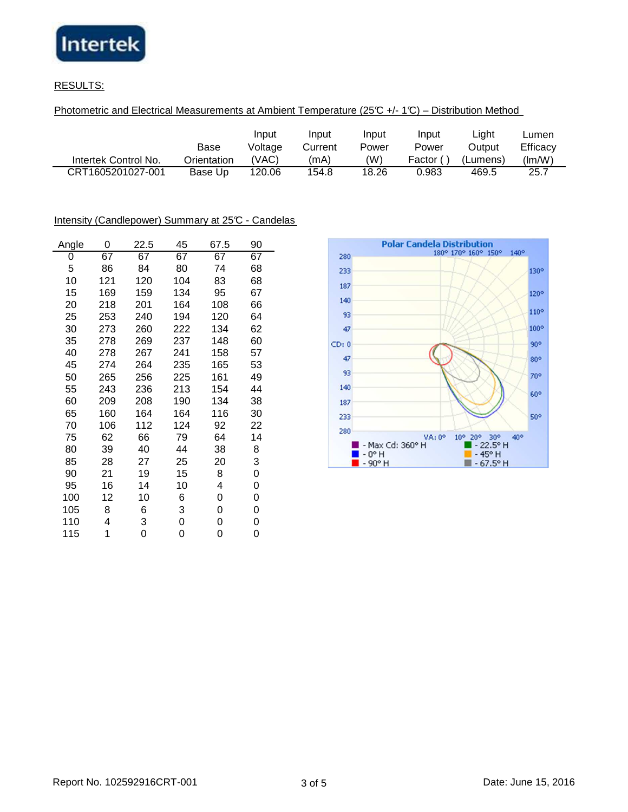

# RESULTS:

Photometric and Electrical Measurements at Ambient Temperature (25°C +/- 1°C) – Distribution Method

|                      | Base        | Input<br>Voltage | Input<br>Current | Input<br>Power | Input<br>Power | ∟ight<br>Output | -umen<br>Efficacy |
|----------------------|-------------|------------------|------------------|----------------|----------------|-----------------|-------------------|
| Intertek Control No. | Orientation | 'VAC)            | (mA)             | (W)            | Factor (       | (Lumens)        | (lm/W)            |
| CRT1605201027-001    | Base Up     | 120.06           | 154.8            | 18.26          | 0.983          | 469.5           | 25.7              |

# Intensity (Candlepower) Summary at 25°C - Candelas

| Angle | 0   | 22.5 | 45  | 67.5 | 90 |
|-------|-----|------|-----|------|----|
| 0     | 67  | 67   | 67  | 67   | 67 |
| 5     | 86  | 84   | 80  | 74   | 68 |
| 10    | 121 | 120  | 104 | 83   | 68 |
| 15    | 169 | 159  | 134 | 95   | 67 |
| 20    | 218 | 201  | 164 | 108  | 66 |
| 25    | 253 | 240  | 194 | 120  | 64 |
| 30    | 273 | 260  | 222 | 134  | 62 |
| 35    | 278 | 269  | 237 | 148  | 60 |
| 40    | 278 | 267  | 241 | 158  | 57 |
| 45    | 274 | 264  | 235 | 165  | 53 |
| 50    | 265 | 256  | 225 | 161  | 49 |
| 55    | 243 | 236  | 213 | 154  | 44 |
| 60    | 209 | 208  | 190 | 134  | 38 |
| 65    | 160 | 164  | 164 | 116  | 30 |
| 70    | 106 | 112  | 124 | 92   | 22 |
| 75    | 62  | 66   | 79  | 64   | 14 |
| 80    | 39  | 40   | 44  | 38   | 8  |
| 85    | 28  | 27   | 25  | 20   | 3  |
| 90    | 21  | 19   | 15  | 8    | 0  |
| 95    | 16  | 14   | 10  | 4    | 0  |
| 100   | 12  | 10   | 6   | 0    | 0  |
| 105   | 8   | 6    | 3   | 0    | 0  |
| 110   | 4   | 3    | 0   | 0    | 0  |
| 115   | 1   | 0    | 0   | 0    | 0  |

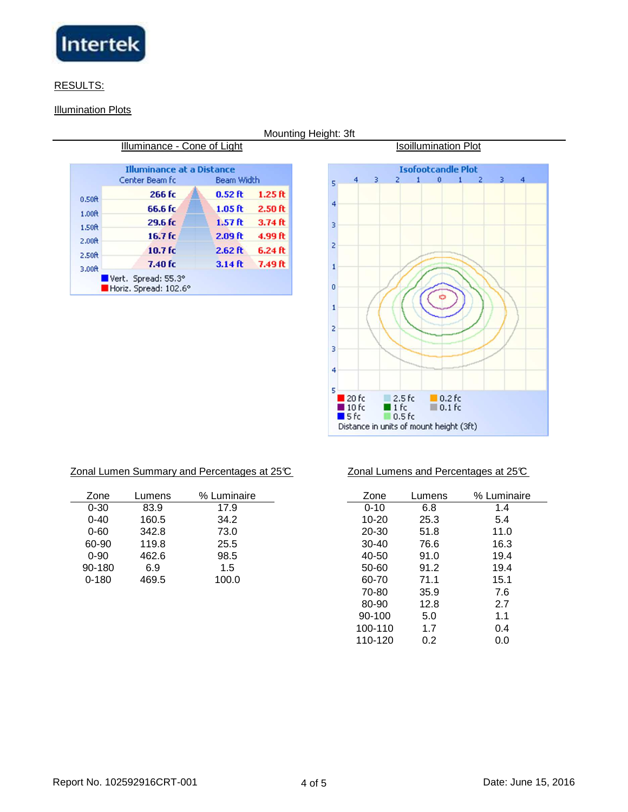

# RESULTS:

# **Illumination Plots**

| Center Beam fc     | Beam Width        |           |
|--------------------|-------------------|-----------|
| 266 fc             | $0.52$ ft         | $1.25$ ft |
| 66.6 fc            | 1.05 <sub>f</sub> | $2.50$ ft |
| 29.6 fc            | 1.57 ft           | $3.74$ ft |
| 16.7 <sub>fc</sub> | $2.09$ ft         | 4.99 ft   |
| 10.7 <sub>fc</sub> | $2.62$ ft         | $6.24$ ft |
| $7.40$ fc          | $3.14$ ft         | 7.49 ft   |
|                    |                   |           |

Mounting Height: 3ft

**Isoillumination Plot** 



| Zonal Lumen Summary and Percentages at 25°C |  |  |  |
|---------------------------------------------|--|--|--|
|                                             |  |  |  |

| Zone      | Lumens | % Luminaire | Zone      | Lumens | % Lumir |
|-----------|--------|-------------|-----------|--------|---------|
| $0 - 30$  | 83.9   | 17.9        | $0 - 10$  | 6.8    | 1.4     |
| $0 - 40$  | 160.5  | 34.2        | $10 - 20$ | 25.3   | 5.4     |
| $0 - 60$  | 342.8  | 73.0        | 20-30     | 51.8   | 11.0    |
| 60-90     | 119.8  | 25.5        | $30 - 40$ | 76.6   | 16.3    |
| $0 - 90$  | 462.6  | 98.5        | 40-50     | 91.0   | 19.4    |
| 90-180    | 6.9    | 1.5         | 50-60     | 91.2   | 19.4    |
| $0 - 180$ | 469.5  | 100.0       | 60-70     | 71.1   | 15.1    |
|           |        |             | -- --     | -- -   | - -     |

#### $\mathcal{Z}$   $\mathcal{Z}$   $\mathcal{Z}$  and  $\mathcal{Z}$  and Percentages at 25°C  $\mathcal{Z}$

| umens | % Luminaire | Zone      | Lumens | % Luminaire |
|-------|-------------|-----------|--------|-------------|
| 83.9  | 17.9        | $0 - 10$  | 6.8    | 1.4         |
| 160.5 | 34.2        | 10-20     | 25.3   | 5.4         |
| 342.8 | 73.0        | 20-30     | 51.8   | 11.0        |
| 119.8 | 25.5        | $30 - 40$ | 76.6   | 16.3        |
| 462.6 | 98.5        | 40-50     | 91.0   | 19.4        |
| 6.9   | 1.5         | 50-60     | 91.2   | 19.4        |
| 469.5 | 100.0       | 60-70     | 71.1   | 15.1        |
|       |             | 70-80     | 35.9   | 7.6         |
|       |             | 80-90     | 12.8   | 2.7         |
|       |             | 90-100    | 5.0    | 1.1         |
|       |             | 100-110   | 1.7    | 0.4         |
|       |             | 110-120   | 0.2    | 0.0         |
|       |             |           |        |             |